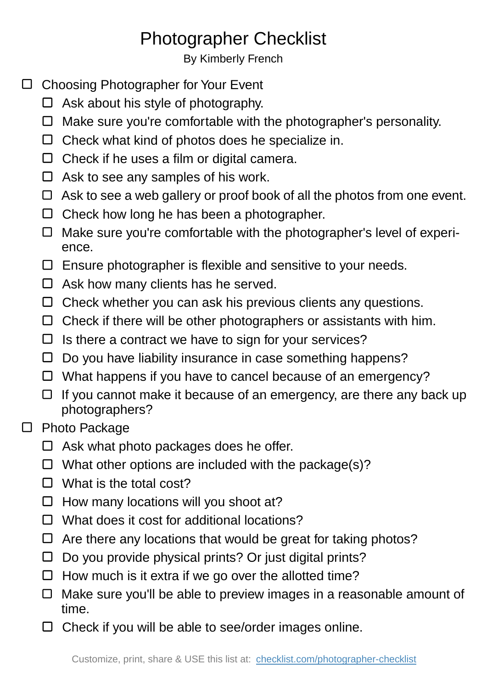## Photographer Checklist

By Kimberly French

- □ Choosing Photographer for Your Event
	- $\Box$  Ask about his style of photography.
	- $\Box$  Make sure you're comfortable with the photographer's personality.
	- $\Box$  Check what kind of photos does he specialize in.
	- $\Box$  Check if he uses a film or digital camera.
	- $\Box$  Ask to see any samples of his work.
	- $\Box$  Ask to see a web gallery or proof book of all the photos from one event.
	- $\Box$  Check how long he has been a photographer.
	- $\Box$  Make sure you're comfortable with the photographer's level of experience.
	- $\square$  Ensure photographer is flexible and sensitive to your needs.
	- $\Box$  Ask how many clients has he served.
	- $\Box$  Check whether you can ask his previous clients any questions.
	- $\Box$  Check if there will be other photographers or assistants with him.
	- $\Box$  Is there a contract we have to sign for your services?
	- $\Box$  Do you have liability insurance in case something happens?
	- $\Box$  What happens if you have to cancel because of an emergency?
	- $\Box$  If you cannot make it because of an emergency, are there any back up photographers?
- □ Photo Package
	- $\Box$  Ask what photo packages does he offer.
	- $\Box$  What other options are included with the package(s)?
	- $\Box$  What is the total cost?
	- $\Box$  How many locations will you shoot at?
	- $\Box$  What does it cost for additional locations?
	- $\Box$  Are there any locations that would be great for taking photos?
	- $\Box$  Do you provide physical prints? Or just digital prints?
	- $\Box$  How much is it extra if we go over the allotted time?
	- $\Box$  Make sure you'll be able to preview images in a reasonable amount of time.
	- $\Box$  Check if you will be able to see/order images online.